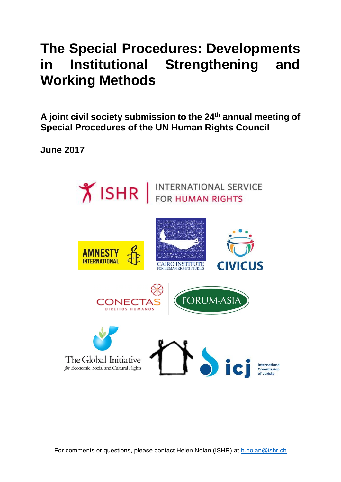# **The Special Procedures: Developments in Institutional Strengthening and Working Methods**

**A joint civil society submission to the 24th annual meeting of Special Procedures of the UN Human Rights Council**

**June 2017**



For comments or questions, please contact Helen Nolan (ISHR) at [h.nolan@](mailto:h.nolan)ishr.ch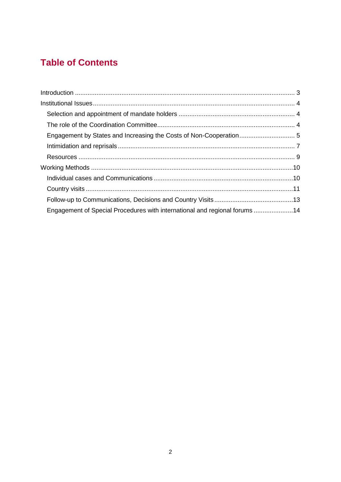## **Table of Contents**

| Engagement of Special Procedures with international and regional forums 14 |  |
|----------------------------------------------------------------------------|--|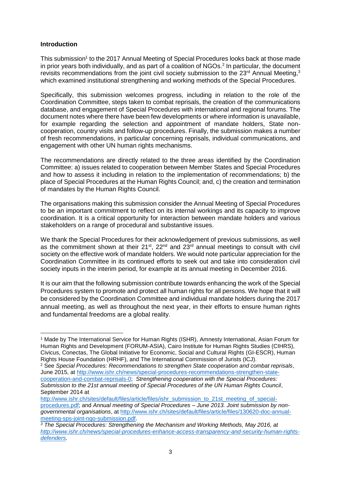#### **Introduction**

This submission<sup>1</sup> to the 2017 Annual Meeting of Special Procedures looks back at those made in prior years both individually, and as part of a coalition of  $NGOs<sup>2</sup>$  In particular, the document revisits recommendations from the joint civil society submission to the  $23<sup>rd</sup>$  Annual Meeting,  $3<sup>3</sup>$ which examined institutional strengthening and working methods of the Special Procedures.

Specifically, this submission welcomes progress, including in relation to the role of the Coordination Committee, steps taken to combat reprisals, the creation of the communications database, and engagement of Special Procedures with international and regional forums. The document notes where there have been few developments or where information is unavailable, for example regarding the selection and appointment of mandate holders, State noncooperation, country visits and follow-up procedures. Finally, the submission makes a number of fresh recommendations, in particular concerning reprisals, individual communications, and engagement with other UN human rights mechanisms.

The recommendations are directly related to the three areas identified by the Coordination Committee: a) issues related to cooperation between Member States and Special Procedures and how to assess it including in relation to the implementation of recommendations; b) the place of Special Procedures at the Human Rights Council; and, c) the creation and termination of mandates by the Human Rights Council.

The organisations making this submission consider the Annual Meeting of Special Procedures to be an important commitment to reflect on its internal workings and its capacity to improve coordination. It is a critical opportunity for interaction between mandate holders and various stakeholders on a range of procedural and substantive issues.

We thank the Special Procedures for their acknowledgement of previous submissions, as well as the commitment shown at their  $21^{st}$ ,  $22^{nd}$  and  $23^{rd}$  annual meetings to consult with civil society on the effective work of mandate holders. We would note particular appreciation for the Coordination Committee in its continued efforts to seek out and take into consideration civil society inputs in the interim period, for example at its annual meeting in December 2016.

It is our aim that the following submission contribute towards enhancing the work of the Special Procedures system to promote and protect all human rights for all persons. We hope that it will be considered by the Coordination Committee and individual mandate holders during the 2017 annual meeting, as well as throughout the next year, in their efforts to ensure human rights and fundamental freedoms are a global reality.

 $\overline{a}$ <sup>1</sup> Made by The International Service for Human Rights (ISHR), Amnesty International, Asian Forum for Human Rights and Development (FORUM-ASIA), Cairo Institute for Human Rights Studies (CIHRS), Civicus, Conectas, The Global Initiative for Economic, Social and Cultural Rights (GI-ESCR), Human Rights House Foundation (HRHF), and The International Commission of Jurists (ICJ).

<sup>2</sup> See *Special Procedures: Recommendations to strengthen State cooperation and combat reprisals*, June 2015, at [http://www.ishr.ch/news/special-procedures-recommendations-strengthen-state](http://www.ishr.ch/news/special-procedures-recommendations-strengthen-state-cooperation-and-combat-reprisals-0)[cooperation-and-combat-reprisals-0;](http://www.ishr.ch/news/special-procedures-recommendations-strengthen-state-cooperation-and-combat-reprisals-0) *Strengthening cooperation with the Special Procedures: Submission to the 21st annual meeting of Special Procedures of the UN Human Rights Council*, September 2014 at

[http://www.ishr.ch/sites/default/files/article/files/ishr\\_submission\\_to\\_21st\\_meeting\\_of\\_special](http://www.ishr.ch/sites/default/files/article/files/ishr_submission_to_21st_meeting_of_specialprocedures.pdf)[procedures.pdf;](http://www.ishr.ch/sites/default/files/article/files/ishr_submission_to_21st_meeting_of_specialprocedures.pdf) and *Annual meeting of Special Procedures – June 2013. Joint submission by nongovernmental organisations*, at [http://www.ishr.ch/sites/default/files/article/files/130620-doc-annual](http://www.ishr.ch/sites/default/files/article/files/130620-doc-annual-meeting-sps-joint-ngo-submission.pdf)[meeting-sps-joint-ngo-submission.pdf.](http://www.ishr.ch/sites/default/files/article/files/130620-doc-annual-meeting-sps-joint-ngo-submission.pdf)

*<sup>3</sup> The Special Procedures: Strengthening the Mechanism and Working Methods, May 2016, at [http://www.ishr.ch/news/special-procedures-enhance-access-transparency-and-security-human-rights](http://www.ishr.ch/news/special-procedures-enhance-access-transparency-and-security-human-rights-defenders)[defenders.](http://www.ishr.ch/news/special-procedures-enhance-access-transparency-and-security-human-rights-defenders)*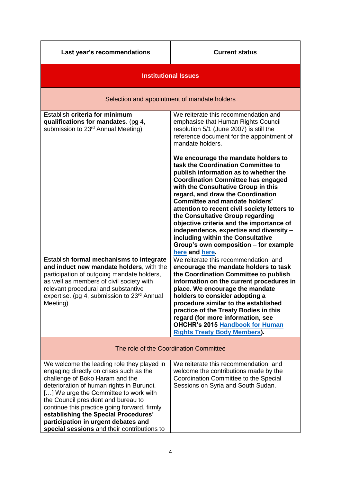#### **Current status**

| <b>Institutional Issues</b>                                                                                                                                                                                                                                                                                                                   |                                                                                                                                                                                                                                                                                                                                                                                                                                                                                                                                                                 |
|-----------------------------------------------------------------------------------------------------------------------------------------------------------------------------------------------------------------------------------------------------------------------------------------------------------------------------------------------|-----------------------------------------------------------------------------------------------------------------------------------------------------------------------------------------------------------------------------------------------------------------------------------------------------------------------------------------------------------------------------------------------------------------------------------------------------------------------------------------------------------------------------------------------------------------|
| Selection and appointment of mandate holders                                                                                                                                                                                                                                                                                                  |                                                                                                                                                                                                                                                                                                                                                                                                                                                                                                                                                                 |
| Establish criteria for minimum<br>qualifications for mandates. (pg 4,<br>submission to 23 <sup>rd</sup> Annual Meeting)                                                                                                                                                                                                                       | We reiterate this recommendation and<br>emphasise that Human Rights Council<br>resolution 5/1 (June 2007) is still the<br>reference document for the appointment of<br>mandate holders.                                                                                                                                                                                                                                                                                                                                                                         |
|                                                                                                                                                                                                                                                                                                                                               | We encourage the mandate holders to<br>task the Coordination Committee to<br>publish information as to whether the<br><b>Coordination Committee has engaged</b><br>with the Consultative Group in this<br>regard, and draw the Coordination<br><b>Committee and mandate holders'</b><br>attention to recent civil society letters to<br>the Consultative Group regarding<br>objective criteria and the importance of<br>independence, expertise and diversity -<br>including within the Consultative<br>Group's own composition - for example<br>here and here. |
| Establish formal mechanisms to integrate<br>and induct new mandate holders, with the<br>participation of outgoing mandate holders,<br>as well as members of civil society with<br>relevant procedural and substantive<br>expertise. (pg 4, submission to 23 <sup>rd</sup> Annual<br>Meeting)                                                  | We reiterate this recommendation, and<br>encourage the mandate holders to task<br>the Coordination Committee to publish<br>information on the current procedures in<br>place. We encourage the mandate<br>holders to consider adopting a<br>procedure similar to the established<br>practice of the Treaty Bodies in this<br>regard (for more information, see<br><b>OHCHR's 2015 Handbook for Human</b><br><b>Rights Treaty Body Members).</b>                                                                                                                 |
| The role of the Coordination Committee                                                                                                                                                                                                                                                                                                        |                                                                                                                                                                                                                                                                                                                                                                                                                                                                                                                                                                 |
| We welcome the leading role they played in<br>engaging directly on crises such as the<br>challenge of Boko Haram and the<br>deterioration of human rights in Burundi.<br>[] We urge the Committee to work with<br>the Council president and bureau to<br>continue this practice going forward, firmly<br>establishing the Special Procedures' | We reiterate this recommendation, and<br>welcome the contributions made by the<br>Coordination Committee to the Special<br>Sessions on Syria and South Sudan.                                                                                                                                                                                                                                                                                                                                                                                                   |

**participation in urgent debates and special sessions** and their contributions to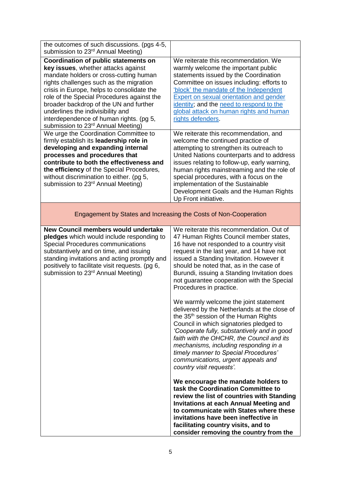| the outcomes of such discussions. (pgs 4-5,<br>submission to 23rd Annual Meeting)                                                                                                                                                                                                                                                                                                                                                        |                                                                                                                                                                                                                                                                                                                                                                                                                                                                                                                                                                                                                                                                                                                                                                 |
|------------------------------------------------------------------------------------------------------------------------------------------------------------------------------------------------------------------------------------------------------------------------------------------------------------------------------------------------------------------------------------------------------------------------------------------|-----------------------------------------------------------------------------------------------------------------------------------------------------------------------------------------------------------------------------------------------------------------------------------------------------------------------------------------------------------------------------------------------------------------------------------------------------------------------------------------------------------------------------------------------------------------------------------------------------------------------------------------------------------------------------------------------------------------------------------------------------------------|
| Coordination of public statements on<br>key issues, whether attacks against<br>mandate holders or cross-cutting human<br>rights challenges such as the migration<br>crisis in Europe, helps to consolidate the<br>role of the Special Procedures against the<br>broader backdrop of the UN and further<br>underlines the indivisibility and<br>interdependence of human rights. (pg 5,<br>submission to 23 <sup>rd</sup> Annual Meeting) | We reiterate this recommendation. We<br>warmly welcome the important public<br>statements issued by the Coordination<br>Committee on issues including: efforts to<br>'block' the mandate of the Independent<br><b>Expert on sexual orientation and gender</b><br>identity; and the need to respond to the<br>global attack on human rights and human<br>rights defenders.                                                                                                                                                                                                                                                                                                                                                                                       |
| We urge the Coordination Committee to<br>firmly establish its leadership role in<br>developing and expanding internal<br>processes and procedures that<br>contribute to both the effectiveness and<br>the efficiency of the Special Procedures,<br>without discrimination to either. (pg 5,<br>submission to 23 <sup>rd</sup> Annual Meeting)                                                                                            | We reiterate this recommendation, and<br>welcome the continued practice of<br>attempting to strengthen its outreach to<br>United Nations counterparts and to address<br>issues relating to follow-up, early warning,<br>human rights mainstreaming and the role of<br>special procedures, with a focus on the<br>implementation of the Sustainable<br>Development Goals and the Human Rights<br>Up Front initiative.                                                                                                                                                                                                                                                                                                                                            |
| Engagement by States and Increasing the Costs of Non-Cooperation                                                                                                                                                                                                                                                                                                                                                                         |                                                                                                                                                                                                                                                                                                                                                                                                                                                                                                                                                                                                                                                                                                                                                                 |
| New Council members would undertake<br>pledges which would include responding to<br><b>Special Procedures communications</b><br>substantively and on time, and issuing<br>standing invitations and acting promptly and<br>positively to facilitate visit requests. (pg 6,<br>submission to 23 <sup>rd</sup> Annual Meeting)                                                                                                              | We reiterate this recommendation. Out of<br>47 Human Rights Council member states,<br>16 have not responded to a country visit<br>request in the last year, and 14 have not<br>issued a Standing Invitation. However it<br>should be noted that, as in the case of<br>Burundi, issuing a Standing Invitation does<br>not guarantee cooperation with the Special<br>Procedures in practice.<br>We warmly welcome the joint statement<br>delivered by the Netherlands at the close of<br>the 35 <sup>th</sup> session of the Human Rights<br>Council in which signatories pledged to<br>'Cooperate fully, substantively and in good<br>faith with the OHCHR, the Council and its<br>mechanisms, including responding in a<br>timely manner to Special Procedures' |
|                                                                                                                                                                                                                                                                                                                                                                                                                                          | communications, urgent appeals and<br>country visit requests'.<br>We encourage the mandate holders to<br>task the Coordination Committee to<br>review the list of countries with Standing<br><b>Invitations at each Annual Meeting and</b><br>to communicate with States where these<br>invitations have been ineffective in<br>facilitating country visits, and to<br>consider removing the country from the                                                                                                                                                                                                                                                                                                                                                   |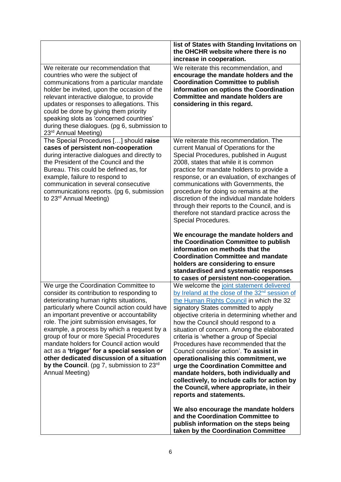|                                                                                                                                                                                                                                                                                                                                                                                                                                                                                                                                                                             | list of States with Standing Invitations on<br>the OHCHR website where there is no<br>increase in cooperation.                                                                                                                                                                                                                                                                                                                                                                                                                                                                                                                                                                                                                                                                                   |
|-----------------------------------------------------------------------------------------------------------------------------------------------------------------------------------------------------------------------------------------------------------------------------------------------------------------------------------------------------------------------------------------------------------------------------------------------------------------------------------------------------------------------------------------------------------------------------|--------------------------------------------------------------------------------------------------------------------------------------------------------------------------------------------------------------------------------------------------------------------------------------------------------------------------------------------------------------------------------------------------------------------------------------------------------------------------------------------------------------------------------------------------------------------------------------------------------------------------------------------------------------------------------------------------------------------------------------------------------------------------------------------------|
| We reiterate our recommendation that<br>countries who were the subject of<br>communications from a particular mandate<br>holder be invited, upon the occasion of the<br>relevant interactive dialogue, to provide<br>updates or responses to allegations. This<br>could be done by giving them priority<br>speaking slots as 'concerned countries'<br>during these dialogues. (pg 6, submission to<br>23 <sup>rd</sup> Annual Meeting)                                                                                                                                      | We reiterate this recommendation, and<br>encourage the mandate holders and the<br><b>Coordination Committee to publish</b><br>information on options the Coordination<br><b>Committee and mandate holders are</b><br>considering in this regard.                                                                                                                                                                                                                                                                                                                                                                                                                                                                                                                                                 |
| The Special Procedures [] should raise<br>cases of persistent non-cooperation<br>during interactive dialogues and directly to<br>the President of the Council and the<br>Bureau. This could be defined as, for<br>example, failure to respond to<br>communication in several consecutive<br>communications reports. (pg 6, submission<br>to 23 <sup>rd</sup> Annual Meeting)                                                                                                                                                                                                | We reiterate this recommendation. The<br>current Manual of Operations for the<br>Special Procedures, published in August<br>2008, states that while it is common<br>practice for mandate holders to provide a<br>response, or an evaluation, of exchanges of<br>communications with Governments, the<br>procedure for doing so remains at the<br>discretion of the individual mandate holders<br>through their reports to the Council, and is<br>therefore not standard practice across the<br>Special Procedures.<br>We encourage the mandate holders and<br>the Coordination Committee to publish<br>information on methods that the<br><b>Coordination Committee and mandate</b><br>holders are considering to ensure<br>standardised and systematic responses                                |
| We urge the Coordination Committee to<br>consider its contribution to responding to<br>deteriorating human rights situations,<br>particularly where Council action could have<br>an important preventive or accountability<br>role. The joint submission envisages, for<br>example, a process by which a request by a<br>group of four or more Special Procedures<br>mandate holders for Council action would<br>act as a 'trigger' for a special session or<br>other dedicated discussion of a situation<br>by the Council. (pg 7, submission to $23rd$<br>Annual Meeting) | to cases of persistent non-cooperation.<br>We welcome the joint statement delivered<br>by Ireland at the close of the 32 <sup>nd</sup> session of<br>the Human Rights Council in which the 32<br>signatory States committed to apply<br>objective criteria in determining whether and<br>how the Council should respond to a<br>situation of concern. Among the elaborated<br>criteria is 'whether a group of Special<br>Procedures have recommended that the<br>Council consider action'. To assist in<br>operationalising this commitment, we<br>urge the Coordination Committee and<br>mandate holders, both individually and<br>collectively, to include calls for action by<br>the Council, where appropriate, in their<br>reports and statements.<br>We also encourage the mandate holders |
|                                                                                                                                                                                                                                                                                                                                                                                                                                                                                                                                                                             | and the Coordination Committee to<br>publish information on the steps being<br>taken by the Coordination Committee                                                                                                                                                                                                                                                                                                                                                                                                                                                                                                                                                                                                                                                                               |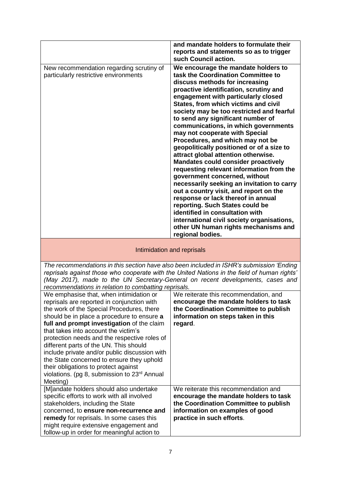|                                                                                   | and mandate holders to formulate their<br>reports and statements so as to trigger<br>such Council action.                                                                                                                                                                                                                                                                                                                                                                                                                                                                                                                                                                                                                                                                                                                                                                                                                                                         |
|-----------------------------------------------------------------------------------|-------------------------------------------------------------------------------------------------------------------------------------------------------------------------------------------------------------------------------------------------------------------------------------------------------------------------------------------------------------------------------------------------------------------------------------------------------------------------------------------------------------------------------------------------------------------------------------------------------------------------------------------------------------------------------------------------------------------------------------------------------------------------------------------------------------------------------------------------------------------------------------------------------------------------------------------------------------------|
| New recommendation regarding scrutiny of<br>particularly restrictive environments | We encourage the mandate holders to<br>task the Coordination Committee to<br>discuss methods for increasing<br>proactive identification, scrutiny and<br>engagement with particularly closed<br>States, from which victims and civil<br>society may be too restricted and fearful<br>to send any significant number of<br>communications, in which governments<br>may not cooperate with Special<br>Procedures, and which may not be<br>geopolitically positioned or of a size to<br>attract global attention otherwise.<br><b>Mandates could consider proactively</b><br>requesting relevant information from the<br>government concerned, without<br>necessarily seeking an invitation to carry<br>out a country visit, and report on the<br>response or lack thereof in annual<br>reporting. Such States could be<br>identified in consultation with<br>international civil society organisations,<br>other UN human rights mechanisms and<br>regional bodies. |

#### Intimidation and reprisals

*The recommendations in this section have also been included in ISHR's submission 'Ending reprisals against those who cooperate with the United Nations in the field of human rights' (May 2017), made to the UN Secretary-General on recent developments, cases and recommendations in relation to combatting reprisals.*

| We emphasise that, when intimidation or<br>reprisals are reported in conjunction with<br>the work of the Special Procedures, there<br>should be in place a procedure to ensure a<br>full and prompt investigation of the claim<br>that takes into account the victim's<br>protection needs and the respective roles of<br>different parts of the UN. This should<br>include private and/or public discussion with<br>the State concerned to ensure they uphold<br>their obligations to protect against<br>violations. (pg 8, submission to 23rd Annual<br>Meeting) | We reiterate this recommendation, and<br>encourage the mandate holders to task<br>the Coordination Committee to publish<br>information on steps taken in this<br>regard.               |
|--------------------------------------------------------------------------------------------------------------------------------------------------------------------------------------------------------------------------------------------------------------------------------------------------------------------------------------------------------------------------------------------------------------------------------------------------------------------------------------------------------------------------------------------------------------------|----------------------------------------------------------------------------------------------------------------------------------------------------------------------------------------|
| [M]andate holders should also undertake<br>specific efforts to work with all involved<br>stakeholders, including the State<br>concerned, to ensure non-recurrence and<br>remedy for reprisals. In some cases this<br>might require extensive engagement and<br>follow-up in order for meaningful action to                                                                                                                                                                                                                                                         | We reiterate this recommendation and<br>encourage the mandate holders to task<br>the Coordination Committee to publish<br>information on examples of good<br>practice in such efforts. |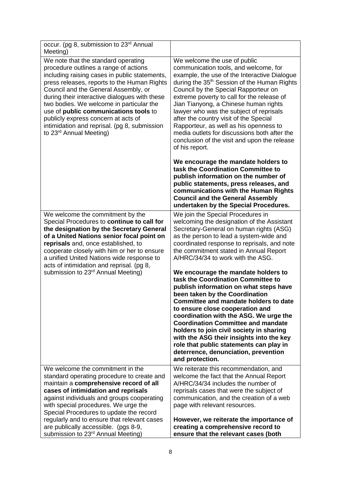| occur. (pg 8, submission to 23 <sup>rd</sup> Annual<br>Meeting)                                                                                                                                                                                                                                                                                                                                                                                                                          |                                                                                                                                                                                                                                                                                                                                                                                                                                                                                                                                                                  |
|------------------------------------------------------------------------------------------------------------------------------------------------------------------------------------------------------------------------------------------------------------------------------------------------------------------------------------------------------------------------------------------------------------------------------------------------------------------------------------------|------------------------------------------------------------------------------------------------------------------------------------------------------------------------------------------------------------------------------------------------------------------------------------------------------------------------------------------------------------------------------------------------------------------------------------------------------------------------------------------------------------------------------------------------------------------|
| We note that the standard operating<br>procedure outlines a range of actions<br>including raising cases in public statements,<br>press releases, reports to the Human Rights<br>Council and the General Assembly, or<br>during their interactive dialogues with these<br>two bodies. We welcome in particular the<br>use of public communications tools to<br>publicly express concern at acts of<br>intimidation and reprisal. (pg 8, submission<br>to 23 <sup>rd</sup> Annual Meeting) | We welcome the use of public<br>communication tools, and welcome, for<br>example, the use of the Interactive Dialogue<br>during the 35 <sup>th</sup> Session of the Human Rights<br>Council by the Special Rapporteur on<br>extreme poverty to call for the release of<br>Jian Tianyong, a Chinese human rights<br>lawyer who was the subject of reprisals<br>after the country visit of the Special<br>Rapporteur, as well as his openness to<br>media outlets for discussions both after the<br>conclusion of the visit and upon the release<br>of his report. |
|                                                                                                                                                                                                                                                                                                                                                                                                                                                                                          | We encourage the mandate holders to<br>task the Coordination Committee to<br>publish information on the number of<br>public statements, press releases, and<br>communications with the Human Rights<br><b>Council and the General Assembly</b><br>undertaken by the Special Procedures.                                                                                                                                                                                                                                                                          |
| We welcome the commitment by the<br>Special Procedures to continue to call for<br>the designation by the Secretary General<br>of a United Nations senior focal point on<br>reprisals and, once established, to<br>cooperate closely with him or her to ensure<br>a unified United Nations wide response to<br>acts of intimidation and reprisal. (pg 8,                                                                                                                                  | We join the Special Procedures in<br>welcoming the designation of the Assistant<br>Secretary-General on human rights (ASG)<br>as the person to lead a system-wide and<br>coordinated response to reprisals, and note<br>the commitment stated in Annual Report<br>A/HRC/34/34 to work with the ASG.                                                                                                                                                                                                                                                              |
| submission to 23 <sup>rd</sup> Annual Meeting)                                                                                                                                                                                                                                                                                                                                                                                                                                           | We encourage the mandate holders to<br>task the Coordination Committee to<br>publish information on what steps have<br>been taken by the Coordination<br>Committee and mandate holders to date<br>to ensure close cooperation and<br>coordination with the ASG. We urge the<br><b>Coordination Committee and mandate</b><br>holders to join civil society in sharing<br>with the ASG their insights into the key<br>role that public statements can play in<br>deterrence, denunciation, prevention<br>and protection.                                           |
| We welcome the commitment in the<br>standard operating procedure to create and                                                                                                                                                                                                                                                                                                                                                                                                           | We reiterate this recommendation, and<br>welcome the fact that the Annual Report                                                                                                                                                                                                                                                                                                                                                                                                                                                                                 |
| maintain a comprehensive record of all                                                                                                                                                                                                                                                                                                                                                                                                                                                   | A/HRC/34/34 includes the number of                                                                                                                                                                                                                                                                                                                                                                                                                                                                                                                               |
| cases of intimidation and reprisals<br>against individuals and groups cooperating                                                                                                                                                                                                                                                                                                                                                                                                        | reprisals cases that were the subject of<br>communication, and the creation of a web                                                                                                                                                                                                                                                                                                                                                                                                                                                                             |
| with special procedures. We urge the                                                                                                                                                                                                                                                                                                                                                                                                                                                     | page with relevant resources.                                                                                                                                                                                                                                                                                                                                                                                                                                                                                                                                    |
| Special Procedures to update the record                                                                                                                                                                                                                                                                                                                                                                                                                                                  |                                                                                                                                                                                                                                                                                                                                                                                                                                                                                                                                                                  |
| regularly and to ensure that relevant cases                                                                                                                                                                                                                                                                                                                                                                                                                                              | However, we reiterate the importance of                                                                                                                                                                                                                                                                                                                                                                                                                                                                                                                          |
| are publically accessible. (pgs 8-9,<br>submission to 23 <sup>rd</sup> Annual Meeting)                                                                                                                                                                                                                                                                                                                                                                                                   | creating a comprehensive record to<br>ensure that the relevant cases (both                                                                                                                                                                                                                                                                                                                                                                                                                                                                                       |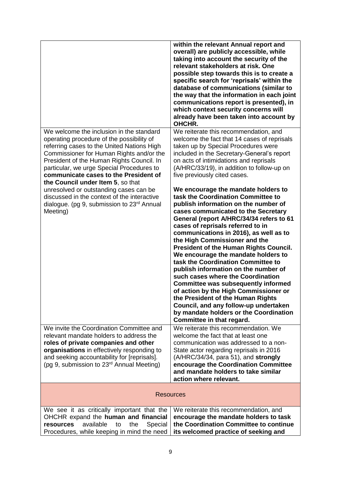|                                                                                                                                                                                                                                                                                                                                                                                                                                                                                                                        | within the relevant Annual report and<br>overall) are publicly accessible, while<br>taking into account the security of the<br>relevant stakeholders at risk. One<br>possible step towards this is to create a<br>specific search for 'reprisals' within the<br>database of communications (similar to<br>the way that the information in each joint<br>communications report is presented), in<br>which context security concerns will<br>already have been taken into account by<br>OHCHR.                                                                                                                                                                                                                                                                                                                                                                                                                                                                                                                                                                                     |
|------------------------------------------------------------------------------------------------------------------------------------------------------------------------------------------------------------------------------------------------------------------------------------------------------------------------------------------------------------------------------------------------------------------------------------------------------------------------------------------------------------------------|----------------------------------------------------------------------------------------------------------------------------------------------------------------------------------------------------------------------------------------------------------------------------------------------------------------------------------------------------------------------------------------------------------------------------------------------------------------------------------------------------------------------------------------------------------------------------------------------------------------------------------------------------------------------------------------------------------------------------------------------------------------------------------------------------------------------------------------------------------------------------------------------------------------------------------------------------------------------------------------------------------------------------------------------------------------------------------|
| We welcome the inclusion in the standard<br>operating procedure of the possibility of<br>referring cases to the United Nations High<br>Commissioner for Human Rights and/or the<br>President of the Human Rights Council. In<br>particular, we urge Special Procedures to<br>communicate cases to the President of<br>the Council under Item 5, so that<br>unresolved or outstanding cases can be<br>discussed in the context of the interactive<br>dialogue. (pg 9, submission to 23 <sup>rd</sup> Annual<br>Meeting) | We reiterate this recommendation, and<br>welcome the fact that 14 cases of reprisals<br>taken up by Special Procedures were<br>included in the Secretary-General's report<br>on acts of intimidations and reprisals<br>(A/HRC/33/19), in addition to follow-up on<br>five previously cited cases.<br>We encourage the mandate holders to<br>task the Coordination Committee to<br>publish information on the number of<br>cases communicated to the Secretary<br>General (report A/HRC/34/34 refers to 61<br>cases of reprisals referred to in<br>communications in 2016), as well as to<br>the High Commissioner and the<br><b>President of the Human Rights Council.</b><br>We encourage the mandate holders to<br>task the Coordination Committee to<br>publish information on the number of<br>such cases where the Coordination<br><b>Committee was subsequently informed</b><br>of action by the High Commissioner or<br>the President of the Human Rights<br>Council, and any follow-up undertaken<br>by mandate holders or the Coordination<br>Committee in that regard. |
| We invite the Coordination Committee and<br>relevant mandate holders to address the<br>roles of private companies and other<br>organisations in effectively responding to<br>and seeking accountability for [reprisals].<br>(pg 9, submission to 23 <sup>rd</sup> Annual Meeting)                                                                                                                                                                                                                                      | We reiterate this recommendation. We<br>welcome the fact that at least one<br>communication was addressed to a non-<br>State actor regarding reprisals in 2016<br>$(A/HRC/34/34,$ para 51), and strongly<br>encourage the Coordination Committee<br>and mandate holders to take similar<br>action where relevant.                                                                                                                                                                                                                                                                                                                                                                                                                                                                                                                                                                                                                                                                                                                                                                |
|                                                                                                                                                                                                                                                                                                                                                                                                                                                                                                                        | <b>Resources</b>                                                                                                                                                                                                                                                                                                                                                                                                                                                                                                                                                                                                                                                                                                                                                                                                                                                                                                                                                                                                                                                                 |
| We see it as critically important that the<br>OHCHR expand the human and financial<br>resources<br>available<br>the<br>Special<br>to<br>Procedures, while keeping in mind the need                                                                                                                                                                                                                                                                                                                                     | We reiterate this recommendation, and<br>encourage the mandate holders to task<br>the Coordination Committee to continue<br>its welcomed practice of seeking and                                                                                                                                                                                                                                                                                                                                                                                                                                                                                                                                                                                                                                                                                                                                                                                                                                                                                                                 |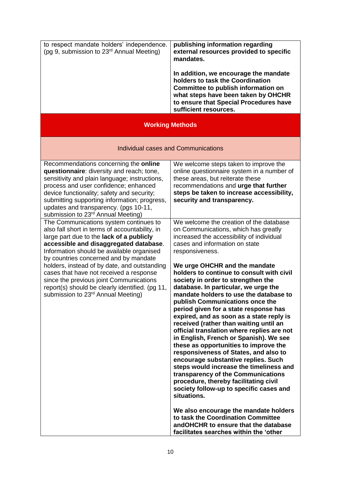| to respect mandate holders' independence.<br>(pg 9, submission to 23 <sup>rd</sup> Annual Meeting) | publishing information regarding<br>external resources provided to specific<br>mandates.                                                                                                                                   |
|----------------------------------------------------------------------------------------------------|----------------------------------------------------------------------------------------------------------------------------------------------------------------------------------------------------------------------------|
|                                                                                                    | In addition, we encourage the mandate<br>holders to task the Coordination<br>Committee to publish information on<br>what steps have been taken by OHCHR<br>to ensure that Special Procedures have<br>sufficient resources. |

### **Working Methods**

#### Individual cases and Communications

| Recommendations concerning the online<br>questionnaire: diversity and reach; tone,<br>sensitivity and plain language; instructions,<br>process and user confidence; enhanced<br>device functionality; safety and security;<br>submitting supporting information; progress,<br>updates and transparency. (pgs 10-11,<br>submission to 23 <sup>rd</sup> Annual Meeting)                                                                                                                                           | We welcome steps taken to improve the<br>online questionnaire system in a number of<br>these areas, but reiterate these<br>recommendations and urge that further<br>steps be taken to increase accessibility,<br>security and transparency.                                                                                                                                                                                                                                                                                                                                                                                                                                                                                                                                                                                                                                                                                                                                                                                                                                                                                     |
|-----------------------------------------------------------------------------------------------------------------------------------------------------------------------------------------------------------------------------------------------------------------------------------------------------------------------------------------------------------------------------------------------------------------------------------------------------------------------------------------------------------------|---------------------------------------------------------------------------------------------------------------------------------------------------------------------------------------------------------------------------------------------------------------------------------------------------------------------------------------------------------------------------------------------------------------------------------------------------------------------------------------------------------------------------------------------------------------------------------------------------------------------------------------------------------------------------------------------------------------------------------------------------------------------------------------------------------------------------------------------------------------------------------------------------------------------------------------------------------------------------------------------------------------------------------------------------------------------------------------------------------------------------------|
| The Communications system continues to<br>also fall short in terms of accountability, in<br>large part due to the lack of a publicly<br>accessible and disaggregated database.<br>Information should be available organised<br>by countries concerned and by mandate<br>holders, instead of by date, and outstanding<br>cases that have not received a response<br>since the previous joint Communications<br>report(s) should be clearly identified. (pg 11,<br>submission to 23 <sup>rd</sup> Annual Meeting) | We welcome the creation of the database<br>on Communications, which has greatly<br>increased the accessibility of individual<br>cases and information on state<br>responsiveness.<br>We urge OHCHR and the mandate<br>holders to continue to consult with civil<br>society in order to strengthen the<br>database. In particular, we urge the<br>mandate holders to use the database to<br>publish Communications once the<br>period given for a state response has<br>expired, and as soon as a state reply is<br>received (rather than waiting until an<br>official translation where replies are not<br>in English, French or Spanish). We see<br>these as opportunities to improve the<br>responsiveness of States, and also to<br>encourage substantive replies. Such<br>steps would increase the timeliness and<br>transparency of the Communications<br>procedure, thereby facilitating civil<br>society follow-up to specific cases and<br>situations.<br>We also encourage the mandate holders<br>to task the Coordination Committee<br>andOHCHR to ensure that the database<br>facilitates searches within the 'other |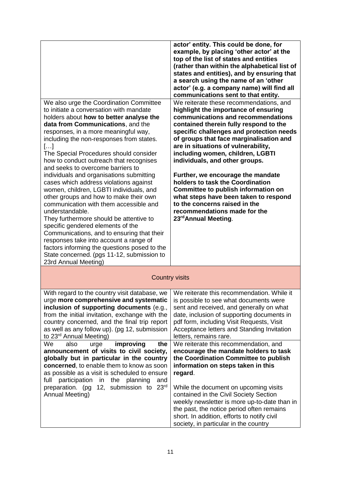|                                                                                                                                                                                                                                                                                                                                                                                                                                                                                                                                                                                                                                                                                                                                                                                                                                                                                                                              | actor' entity. This could be done, for<br>example, by placing 'other actor' at the<br>top of the list of states and entities<br>(rather than within the alphabetical list of<br>states and entities), and by ensuring that<br>a search using the name of an 'other<br>actor' (e.g. a company name) will find all<br>communications sent to that entity.                                                                                                                                                                                                                                                               |
|------------------------------------------------------------------------------------------------------------------------------------------------------------------------------------------------------------------------------------------------------------------------------------------------------------------------------------------------------------------------------------------------------------------------------------------------------------------------------------------------------------------------------------------------------------------------------------------------------------------------------------------------------------------------------------------------------------------------------------------------------------------------------------------------------------------------------------------------------------------------------------------------------------------------------|-----------------------------------------------------------------------------------------------------------------------------------------------------------------------------------------------------------------------------------------------------------------------------------------------------------------------------------------------------------------------------------------------------------------------------------------------------------------------------------------------------------------------------------------------------------------------------------------------------------------------|
| We also urge the Coordination Committee<br>to initiate a conversation with mandate<br>holders about how to better analyse the<br>data from Communications, and the<br>responses, in a more meaningful way,<br>including the non-responses from states.<br>[]<br>The Special Procedures should consider<br>how to conduct outreach that recognises<br>and seeks to overcome barriers to<br>individuals and organisations submitting<br>cases which address violations against<br>women, children, LGBTI individuals, and<br>other groups and how to make their own<br>communication with them accessible and<br>understandable.<br>They furthermore should be attentive to<br>specific gendered elements of the<br>Communications, and to ensuring that their<br>responses take into account a range of<br>factors informing the questions posed to the<br>State concerned. (pgs 11-12, submission to<br>23rd Annual Meeting) | We reiterate these recommendations, and<br>highlight the importance of ensuring<br>communications and recommendations<br>contained therein fully respond to the<br>specific challenges and protection needs<br>of groups that face marginalisation and<br>are in situations of vulnerability,<br>including women, children, LGBTI<br>individuals, and other groups.<br>Further, we encourage the mandate<br>holders to task the Coordination<br>Committee to publish information on<br>what steps have been taken to respond<br>to the concerns raised in the<br>recommendations made for the<br>23rd Annual Meeting. |
| <b>Country visits</b>                                                                                                                                                                                                                                                                                                                                                                                                                                                                                                                                                                                                                                                                                                                                                                                                                                                                                                        |                                                                                                                                                                                                                                                                                                                                                                                                                                                                                                                                                                                                                       |
| With regard to the country visit database, we<br>urge more comprehensive and systematic<br>inclusion of supporting documents (e.g.,<br>from the initial invitation, exchange with the<br>country concerned, and the final trip report<br>as well as any follow up). (pg 12, submission<br>to 23 <sup>rd</sup> Annual Meeting)                                                                                                                                                                                                                                                                                                                                                                                                                                                                                                                                                                                                | We reiterate this recommendation. While it<br>is possible to see what documents were<br>sent and received, and generally on what<br>date, inclusion of supporting documents in<br>pdf form, including Visit Requests, Visit<br>Acceptance letters and Standing Invitation<br>letters, remains rare.                                                                                                                                                                                                                                                                                                                   |
| We<br>also<br>improving<br>the<br>urge<br>announcement of visits to civil society,<br>globally but in particular in the country<br>concerned, to enable them to know as soon<br>as possible as a visit is scheduled to ensure<br>participation<br>full<br>in<br>the<br>planning<br>and<br>23 <sup>rd</sup><br>preparation. (pg<br>12, submission to<br>Annual Meeting)                                                                                                                                                                                                                                                                                                                                                                                                                                                                                                                                                       | We reiterate this recommendation, and<br>encourage the mandate holders to task<br>the Coordination Committee to publish<br>information on steps taken in this<br>regard.<br>While the document on upcoming visits<br>contained in the Civil Society Section<br>weekly newsletter is more up-to-date than in<br>the past, the notice period often remains<br>short. In addition, efforts to notify civil<br>society, in particular in the country                                                                                                                                                                      |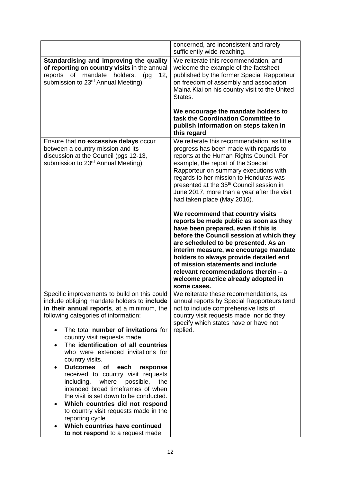|                                                                                                                                                                                                                                                                                                                                                                                                                                                                                                                                                                                                                                                                                                                                                               | concerned, are inconsistent and rarely<br>sufficiently wide-reaching.                                                                                                                                                                                                                                                                                                                                                       |
|---------------------------------------------------------------------------------------------------------------------------------------------------------------------------------------------------------------------------------------------------------------------------------------------------------------------------------------------------------------------------------------------------------------------------------------------------------------------------------------------------------------------------------------------------------------------------------------------------------------------------------------------------------------------------------------------------------------------------------------------------------------|-----------------------------------------------------------------------------------------------------------------------------------------------------------------------------------------------------------------------------------------------------------------------------------------------------------------------------------------------------------------------------------------------------------------------------|
| Standardising and improving the quality<br>of reporting on country visits in the annual<br>mandate<br>holders.<br>reports<br>of<br>(pg)<br>12,<br>submission to 23 <sup>rd</sup> Annual Meeting)                                                                                                                                                                                                                                                                                                                                                                                                                                                                                                                                                              | We reiterate this recommendation, and<br>welcome the example of the factsheet<br>published by the former Special Rapporteur<br>on freedom of assembly and association<br>Maina Kiai on his country visit to the United<br>States.<br>We encourage the mandate holders to<br>task the Coordination Committee to<br>publish information on steps taken in                                                                     |
|                                                                                                                                                                                                                                                                                                                                                                                                                                                                                                                                                                                                                                                                                                                                                               | this regard.                                                                                                                                                                                                                                                                                                                                                                                                                |
| Ensure that no excessive delays occur<br>between a country mission and its<br>discussion at the Council (pgs 12-13,<br>submission to 23 <sup>rd</sup> Annual Meeting)                                                                                                                                                                                                                                                                                                                                                                                                                                                                                                                                                                                         | We reiterate this recommendation, as little<br>progress has been made with regards to<br>reports at the Human Rights Council. For<br>example, the report of the Special<br>Rapporteur on summary executions with<br>regards to her mission to Honduras was<br>presented at the 35 <sup>th</sup> Council session in<br>June 2017, more than a year after the visit<br>had taken place (May 2016).                            |
|                                                                                                                                                                                                                                                                                                                                                                                                                                                                                                                                                                                                                                                                                                                                                               | We recommend that country visits<br>reports be made public as soon as they<br>have been prepared, even if this is<br>before the Council session at which they<br>are scheduled to be presented. As an<br>interim measure, we encourage mandate<br>holders to always provide detailed end<br>of mission statements and include<br>relevant recommendations therein - a<br>welcome practice already adopted in<br>some cases. |
| Specific improvements to build on this could<br>include obliging mandate holders to <b>include</b><br>in their annual reports, at a minimum, the<br>following categories of information:<br>The total number of invitations for<br>$\bullet$<br>country visit requests made.<br>The identification of all countries<br>who were extended invitations for<br>country visits.<br><b>Outcomes</b><br>of<br>each<br>response<br>received to country visit requests<br>including,<br>where<br>possible,<br>the<br>intended broad timeframes of when<br>the visit is set down to be conducted.<br>Which countries did not respond<br>to country visit requests made in the<br>reporting cycle<br>Which countries have continued<br>to not respond to a request made | We reiterate these recommendations, as<br>annual reports by Special Rapporteurs tend<br>not to include comprehensive lists of<br>country visit requests made, nor do they<br>specify which states have or have not<br>replied.                                                                                                                                                                                              |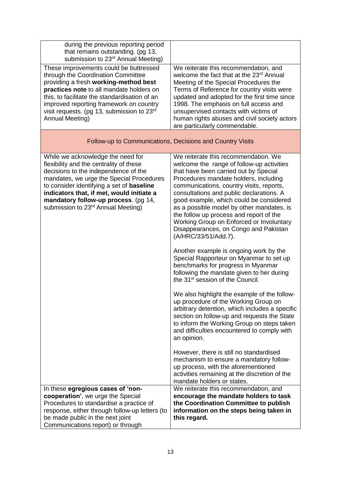| during the previous reporting period<br>that remains outstanding. (pg 13,<br>submission to 23 <sup>rd</sup> Annual Meeting)                                                                                                                                                                                                                                 |                                                                                                                                                                                                                                                                                                                                                                                                                                                                                                                                                                                                                                                                                                                                                                                                                                                                                                                                                                                                                                                                                                                                                                       |  |
|-------------------------------------------------------------------------------------------------------------------------------------------------------------------------------------------------------------------------------------------------------------------------------------------------------------------------------------------------------------|-----------------------------------------------------------------------------------------------------------------------------------------------------------------------------------------------------------------------------------------------------------------------------------------------------------------------------------------------------------------------------------------------------------------------------------------------------------------------------------------------------------------------------------------------------------------------------------------------------------------------------------------------------------------------------------------------------------------------------------------------------------------------------------------------------------------------------------------------------------------------------------------------------------------------------------------------------------------------------------------------------------------------------------------------------------------------------------------------------------------------------------------------------------------------|--|
| These improvements could be buttressed<br>through the Coordination Committee<br>providing a fresh working-method best<br>practices note to all mandate holders on<br>this, to facilitate the standardisation of an<br>improved reporting framework on country<br>visit requests. (pg 13, submission to 23rd<br>Annual Meeting)                              | We reiterate this recommendation, and<br>welcome the fact that at the 23rd Annual<br>Meeting of the Special Procedures the<br>Terms of Reference for country visits were<br>updated and adopted for the first time since<br>1998. The emphasis on full access and<br>unsupervised contacts with victims of<br>human rights abuses and civil society actors<br>are particularly commendable.                                                                                                                                                                                                                                                                                                                                                                                                                                                                                                                                                                                                                                                                                                                                                                           |  |
| Follow-up to Communications, Decisions and Country Visits                                                                                                                                                                                                                                                                                                   |                                                                                                                                                                                                                                                                                                                                                                                                                                                                                                                                                                                                                                                                                                                                                                                                                                                                                                                                                                                                                                                                                                                                                                       |  |
| While we acknowledge the need for<br>flexibility and the centrality of these<br>decisions to the independence of the<br>mandates, we urge the Special Procedures<br>to consider identifying a set of <b>baseline</b><br>indicators that, if met, would initiate a<br>mandatory follow-up process. (pg 14,<br>submission to 23 <sup>rd</sup> Annual Meeting) | We reiterate this recommendation. We<br>welcome the range of follow-up activities<br>that have been carried out by Special<br>Procedures mandate holders, including<br>communications, country visits, reports,<br>consultations and public declarations. A<br>good example, which could be considered<br>as a possible model by other mandates, is<br>the follow up process and report of the<br>Working Group on Enforced or Involuntary<br>Disappearances, on Congo and Pakistan<br>(A/HRC/33/51/Add.7).<br>Another example is ongoing work by the<br>Special Rapporteur on Myanmar to set up<br>benchmarks for progress in Myanmar<br>following the mandate given to her during<br>the 31 <sup>st</sup> session of the Council.<br>We also highlight the example of the follow-<br>up procedure of the Working Group on<br>arbitrary detention, which includes a specific<br>section on follow-up and requests the State<br>to inform the Working Group on steps taken<br>and difficulties encountered to comply with<br>an opinion.<br>However, there is still no standardised<br>mechanism to ensure a mandatory follow-<br>up process, with the aforementioned |  |
|                                                                                                                                                                                                                                                                                                                                                             | activities remaining at the discretion of the<br>mandate holders or states.                                                                                                                                                                                                                                                                                                                                                                                                                                                                                                                                                                                                                                                                                                                                                                                                                                                                                                                                                                                                                                                                                           |  |
| In these egregious cases of 'non-<br>cooperation', we urge the Special<br>Procedures to standardise a practice of<br>response, either through follow-up letters (to<br>be made public in the next joint<br>Communications report) or through                                                                                                                | We reiterate this recommendation, and<br>encourage the mandate holders to task<br>the Coordination Committee to publish<br>information on the steps being taken in<br>this regard.                                                                                                                                                                                                                                                                                                                                                                                                                                                                                                                                                                                                                                                                                                                                                                                                                                                                                                                                                                                    |  |